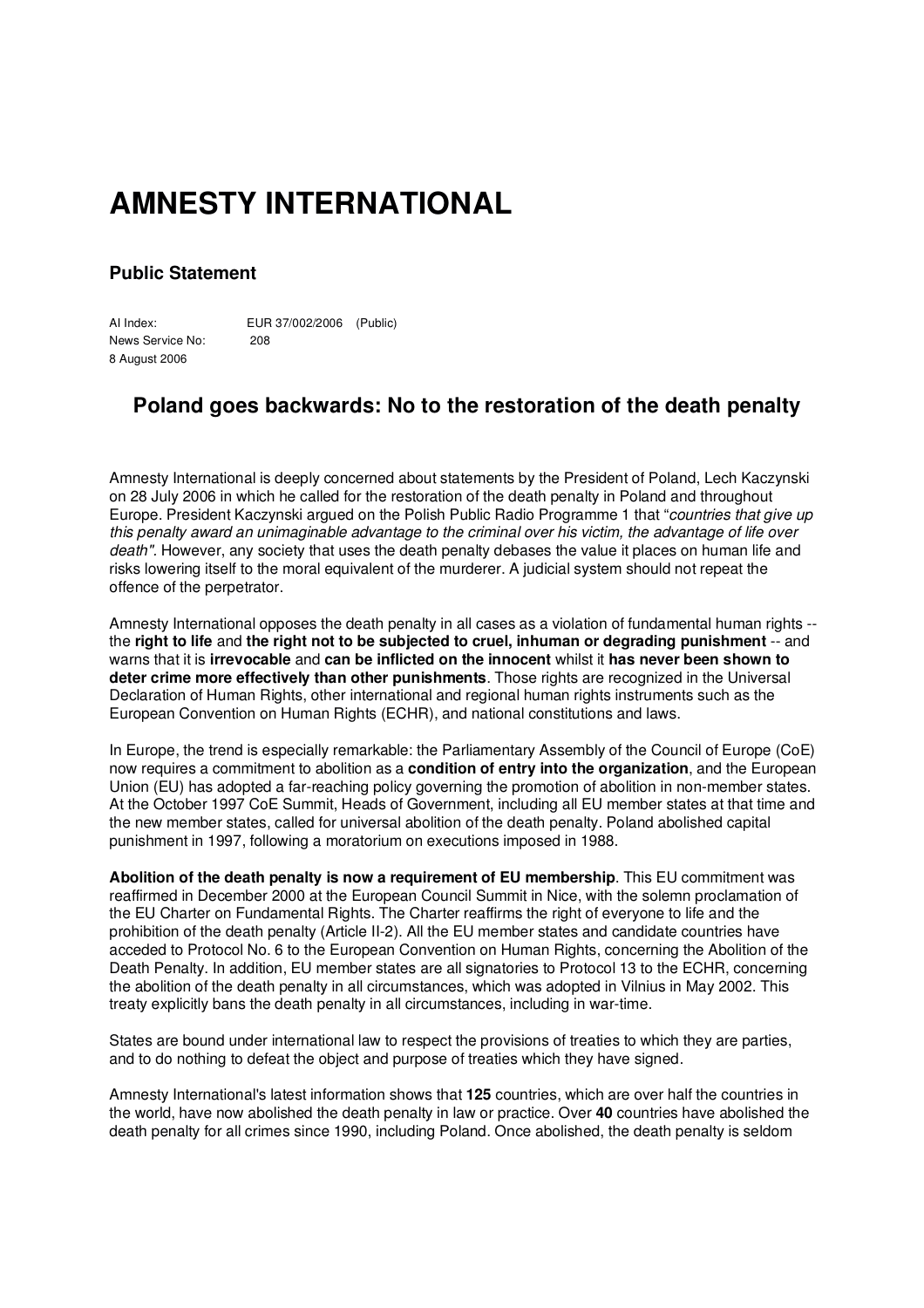## **AMNESTY INTERNATIONAL**

## **Public Statement**

AI Index: EUR 37/002/2006 (Public) News Service No: 208 8 August 2006

## **Poland goes backwards: No to the restoration of the death penalty**

Amnesty International is deeply concerned about statements by the President of Poland, Lech Kaczynski on 28 July 2006 in which he called for the restoration of the death penalty in Poland and throughout Europe. President Kaczynski argued on the Polish Public Radio Programme 1 that "*countries that give up this penalty award an unimaginable advantage to the criminal over his victim, the advantage of life over death".* However, any society that uses the death penalty debases the value it places on human life and risks lowering itself to the moral equivalent of the murderer. A judicial system should not repeat the offence of the perpetrator.

Amnesty International opposes the death penalty in all cases as a violation of fundamental human rights - the **right to life** and **the right not to be subjected to cruel, inhuman or degrading punishment** -- and warns that it is **irrevocable** and **can be inflicted on the innocent** whilst it **has never been shown to deter crime more effectively than other punishments**. Those rights are recognized in the Universal Declaration of Human Rights, other international and regional human rights instruments such as the European Convention on Human Rights (ECHR), and national constitutions and laws.

In Europe, the trend is especially remarkable: the Parliamentary Assembly of the Council of Europe (CoE) now requires a commitment to abolition as a **condition of entry into the organization**, and the European Union (EU) has adopted a far-reaching policy governing the promotion of abolition in non-member states. At the October 1997 CoE Summit, Heads of Government, including all EU member states at that time and the new member states, called for universal abolition of the death penalty. Poland abolished capital punishment in 1997, following a moratorium on executions imposed in 1988.

**Abolition of the death penalty is now a requirement of EU membership**. This EU commitment was reaffirmed in December 2000 at the European Council Summit in Nice, with the solemn proclamation of the EU Charter on Fundamental Rights. The Charter reaffirms the right of everyone to life and the prohibition of the death penalty (Article II-2). All the EU member states and candidate countries have acceded to Protocol No. 6 to the European Convention on Human Rights, concerning the Abolition of the Death Penalty. In addition, EU member states are all signatories to Protocol 13 to the ECHR, concerning the abolition of the death penalty in all circumstances, which was adopted in Vilnius in May 2002. This treaty explicitly bans the death penalty in all circumstances, including in war-time.

States are bound under international law to respect the provisions of treaties to which they are parties, and to do nothing to defeat the object and purpose of treaties which they have signed.

Amnesty International's latest information shows that **125** countries, which are over half the countries in the world, have now abolished the death penalty in law or practice. Over **40** countries have abolished the death penalty for all crimes since 1990, including Poland. Once abolished, the death penalty is seldom